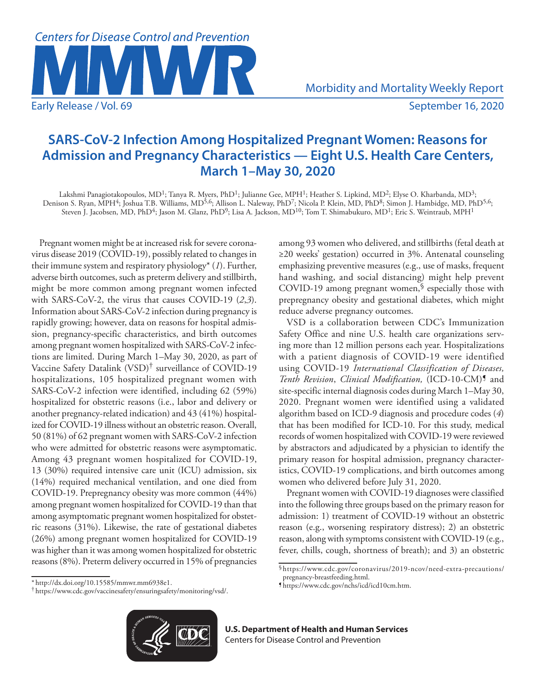

# **SARS-CoV-2 Infection Among Hospitalized Pregnant Women: Reasons for Admission and Pregnancy Characteristics — Eight U.S. Health Care Centers, March 1–May 30, 2020**

Lakshmi Panagiotakopoulos, MD<sup>1</sup>; Tanya R. Myers, PhD<sup>1</sup>; Julianne Gee, MPH<sup>1</sup>; Heather S. Lipkind, MD<sup>2</sup>; Elyse O. Kharbanda, MD<sup>3</sup>; Denison S. Ryan, MPH<sup>4</sup>; Joshua T.B. Williams, MD<sup>5,6</sup>; Allison L. Naleway, PhD<sup>7</sup>; Nicola P. Klein, MD, PhD<sup>8</sup>; Simon J. Hambidge, MD, PhD<sup>5,6</sup>; Steven J. Jacobsen, MD, PhD<sup>4</sup>; Jason M. Glanz, PhD<sup>9</sup>; Lisa A. Jackson, MD<sup>10</sup>; Tom T. Shimabukuro, MD<sup>1</sup>; Eric S. Weintraub, MPH<sup>1</sup>

Pregnant women might be at increased risk for severe coronavirus disease 2019 (COVID-19), possibly related to changes in their immune system and respiratory physiology\* (*1*). Further, adverse birth outcomes, such as preterm delivery and stillbirth, might be more common among pregnant women infected with SARS-CoV-2, the virus that causes COVID-19 (*2*,*3*). Information about SARS-CoV-2 infection during pregnancy is rapidly growing; however, data on reasons for hospital admission, pregnancy-specific characteristics, and birth outcomes among pregnant women hospitalized with SARS-CoV-2 infections are limited. During March 1–May 30, 2020, as part of Vaccine Safety Datalink (VSD)† surveillance of COVID-19 hospitalizations, 105 hospitalized pregnant women with SARS-CoV-2 infection were identified, including 62 (59%) hospitalized for obstetric reasons (i.e., labor and delivery or another pregnancy-related indication) and 43 (41%) hospitalized for COVID-19 illness without an obstetric reason. Overall, 50 (81%) of 62 pregnant women with SARS-CoV-2 infection who were admitted for obstetric reasons were asymptomatic. Among 43 pregnant women hospitalized for COVID-19, 13 (30%) required intensive care unit (ICU) admission, six (14%) required mechanical ventilation, and one died from COVID-19. Prepregnancy obesity was more common (44%) among pregnant women hospitalized for COVID-19 than that among asymptomatic pregnant women hospitalized for obstetric reasons (31%). Likewise, the rate of gestational diabetes (26%) among pregnant women hospitalized for COVID-19 was higher than it was among women hospitalized for obstetric reasons (8%). Preterm delivery occurred in 15% of pregnancies

among 93 women who delivered, and stillbirths (fetal death at ≥20 weeks' gestation) occurred in 3%. Antenatal counseling emphasizing preventive measures (e.g., use of masks, frequent hand washing, and social distancing) might help prevent COVID-19 among pregnant women, $\frac{1}{2}$  especially those with prepregnancy obesity and gestational diabetes, which might reduce adverse pregnancy outcomes.

VSD is a collaboration between CDC's Immunization Safety Office and nine U.S. health care organizations serving more than 12 million persons each year. Hospitalizations with a patient diagnosis of COVID-19 were identified using COVID-19 *International Classification of Diseases, Tenth Revision*, *Clinical Modification,* (ICD-10-CM)¶ and site-specific internal diagnosis codes during March 1–May 30, 2020. Pregnant women were identified using a validated algorithm based on ICD-9 diagnosis and procedure codes (*4*) that has been modified for ICD-10. For this study, medical records of women hospitalized with COVID-19 were reviewed by abstractors and adjudicated by a physician to identify the primary reason for hospital admission, pregnancy characteristics, COVID-19 complications, and birth outcomes among women who delivered before July 31, 2020.

Pregnant women with COVID-19 diagnoses were classified into the following three groups based on the primary reason for admission: 1) treatment of COVID-19 without an obstetric reason (e.g., worsening respiratory distress); 2) an obstetric reason, along with symptoms consistent with COVID-19 (e.g., fever, chills, cough, shortness of breath); and 3) an obstetric

<sup>\*</sup> [http://dx.doi.org/10.15585/mmwr.mm6938e1.](http://dx.doi.org/10.15585/mmwr.mm6938e1) † [https://www.cdc.gov/vaccinesafety/ensuringsafety/monitoring/vsd/.](https://www.cdc.gov/vaccinesafety/ensuringsafety/monitoring/vsd/)



**U.S. Department of Health and Human Services** Centers for Disease Control and Prevention

<sup>§</sup>[https://www.cdc.gov/coronavirus/2019-ncov/need-extra-precautions/](https://www.cdc.gov/coronavirus/2019-ncov/need-extra-precautions/pregnancy-breastfeeding.html) [pregnancy-breastfeeding.html.](https://www.cdc.gov/coronavirus/2019-ncov/need-extra-precautions/pregnancy-breastfeeding.html) ¶ [https://www.cdc.gov/nchs/icd/icd10cm.htm.](https://www.cdc.gov/nchs/icd/icd10cm.htm)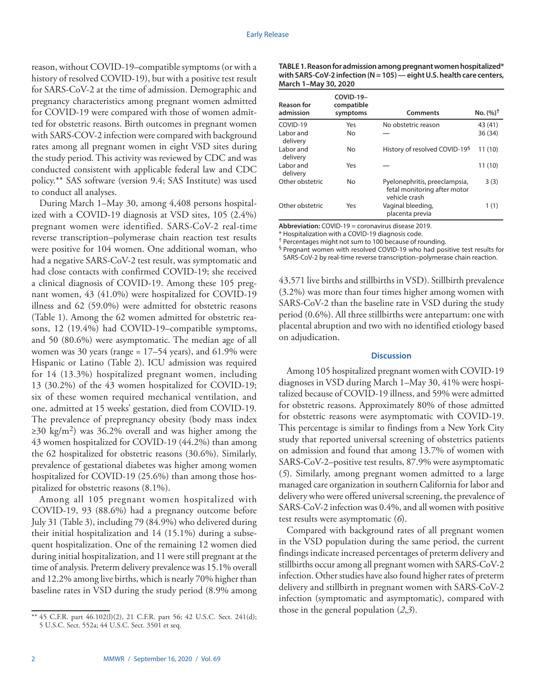reason, without COVID-19–compatible symptoms (or with a history of resolved COVID-19), but with a positive test result for SARS-CoV-2 at the time of admission. Demographic and pregnancy characteristics among pregnant women admitted for COVID-19 were compared with those of women admitted for obstetric reasons. Birth outcomes in pregnant women with SARS-COV-2 infection were compared with background rates among all pregnant women in eight VSD sites during the study period. This activity was reviewed by CDC and was conducted consistent with applicable federal law and CDC policy.\*\* SAS software (version 9.4; SAS Institute) was used to conduct all analyses.

During March 1–May 30, among 4,408 persons hospitalized with a COVID-19 diagnosis at VSD sites, 105 (2.4%) pregnant women were identified. SARS-CoV-2 real-time reverse transcription–polymerase chain reaction test results were positive for 104 women. One additional woman, who had a negative SARS-CoV-2 test result, was symptomatic and had close contacts with confirmed COVID-19; she received a clinical diagnosis of COVID-19. Among these 105 pregnant women, 43 (41.0%) were hospitalized for COVID-19 illness and 62 (59.0%) were admitted for obstetric reasons (Table 1). Among the 62 women admitted for obstetric reasons, 12 (19.4%) had COVID-19–compatible symptoms, and 50 (80.6%) were asymptomatic. The median age of all women was 30 years (range =  $17-54$  years), and  $61.9\%$  were Hispanic or Latino (Table 2). ICU admission was required for 14 (13.3%) hospitalized pregnant women, including 13 (30.2%) of the 43 women hospitalized for COVID-19; six of these women required mechanical ventilation, and one, admitted at 15 weeks' gestation, died from COVID-19. The prevalence of prepregnancy obesity (body mass index  $\geq$ 30 kg/m<sup>2</sup>) was 36.2% overall and was higher among the 43 women hospitalized for COVID-19 (44.2%) than among the 62 hospitalized for obstetric reasons (30.6%). Similarly, prevalence of gestational diabetes was higher among women hospitalized for COVID-19 (25.6%) than among those hospitalized for obstetric reasons (8.1%).

Among all 105 pregnant women hospitalized with COVID-19, 93 (88.6%) had a pregnancy outcome before July 31 (Table 3), including 79 (84.9%) who delivered during their initial hospitalization and 14 (15.1%) during a subsequent hospitalization. One of the remaining 12 women died during initial hospitalization, and 11 were still pregnant at the time of analysis. Preterm delivery prevalence was 15.1% overall and 12.2% among live births, which is nearly 70% higher than baseline rates in VSD during the study period (8.9% among

| TABLE 1. Reason for admission among pregnant women hospitalized*          |
|---------------------------------------------------------------------------|
| with SARS-CoV-2 infection ( $N = 105$ ) — eight U.S. health care centers, |
| March 1-May 30, 2020                                                      |

| <b>Reason for</b><br>admission | COVID-19-<br>compatible<br>symptoms | <b>Comments</b>                                                                | No. $(%)^{\dagger}$ |
|--------------------------------|-------------------------------------|--------------------------------------------------------------------------------|---------------------|
| COVID-19                       | Yes                                 | No obstetric reason                                                            | 43 (41)             |
| Labor and<br>delivery          | <b>No</b>                           |                                                                                | 36(34)              |
| Labor and<br>delivery          | No                                  | History of resolved COVID-19 <sup>§</sup>                                      | 11(10)              |
| Labor and<br>delivery          | Yes                                 |                                                                                | 11 (10)             |
| Other obstetric                | <b>No</b>                           | Pyelonephritis, preeclampsia,<br>fetal monitoring after motor<br>vehicle crash | 3(3)                |
| Other obstetric                | Yes                                 | Vaginal bleeding,<br>placenta previa                                           | 1(1)                |

**Abbreviation:** COVID-19 = coronavirus disease 2019.

\* Hospitalization with a COVID-19 diagnosis code.

† Percentages might not sum to 100 because of rounding.

§ Pregnant women with resolved COVID-19 who had positive test results for SARS-CoV-2 by real-time reverse transcription–polymerase chain reaction.

43,571 live births and stillbirths in VSD). Stillbirth prevalence (3.2%) was more than four times higher among women with SARS-CoV-2 than the baseline rate in VSD during the study period (0.6%). All three stillbirths were antepartum: one with placental abruption and two with no identified etiology based on adjudication.

### **Discussion**

Among 105 hospitalized pregnant women with COVID-19 diagnoses in VSD during March 1–May 30, 41% were hospitalized because of COVID-19 illness, and 59% were admitted for obstetric reasons. Approximately 80% of those admitted for obstetric reasons were asymptomatic with COVID-19. This percentage is similar to findings from a New York City study that reported universal screening of obstetrics patients on admission and found that among 13.7% of women with SARS-CoV-2–positive test results, 87.9% were asymptomatic (*5*). Similarly, among pregnant women admitted to a large managed care organization in southern California for labor and delivery who were offered universal screening, the prevalence of SARS-CoV-2 infection was 0.4%, and all women with positive test results were asymptomatic (*6*).

Compared with background rates of all pregnant women in the VSD population during the same period, the current findings indicate increased percentages of preterm delivery and stillbirths occur among all pregnant women with SARS-CoV-2 infection. Other studies have also found higher rates of preterm delivery and stillbirth in pregnant women with SARS-CoV-2 infection (symptomatic and asymptomatic), compared with those in the general population (*2*,*3*).

<sup>\*\*</sup> 45 C.F.R. part 46.102(l)(2), 21 C.F.R. part 56; 42 U.S.C. Sect. 241(d); 5 U.S.C. Sect. 552a; 44 U.S.C. Sect. 3501 et seq.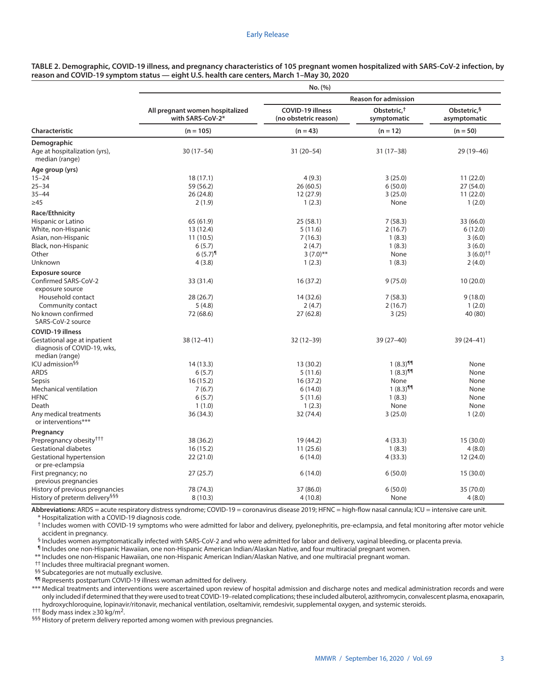|                                                                               | No. (%)                                             |                                                  |                                        |                              |  |
|-------------------------------------------------------------------------------|-----------------------------------------------------|--------------------------------------------------|----------------------------------------|------------------------------|--|
|                                                                               |                                                     |                                                  | <b>Reason for admission</b>            |                              |  |
|                                                                               | All pregnant women hospitalized<br>with SARS-CoV-2* | <b>COVID-19 illness</b><br>(no obstetric reason) | Obstetric. <sup>†</sup><br>symptomatic | Obstetric, §<br>asymptomatic |  |
| Characteristic                                                                | $(n = 105)$                                         | $(n = 43)$                                       | $(n = 12)$                             | $(n = 50)$                   |  |
| <b>Demographic</b>                                                            |                                                     |                                                  |                                        |                              |  |
| Age at hospitalization (yrs),<br>median (range)                               | $30(17-54)$                                         | 31 (20-54)                                       | $31(17-38)$                            | 29 (19 - 46)                 |  |
| Age group (yrs)                                                               |                                                     |                                                  |                                        |                              |  |
| $15 - 24$                                                                     | 18(17.1)                                            | 4(9.3)                                           | 3(25.0)                                | 11(22.0)                     |  |
| $25 - 34$                                                                     | 59 (56.2)                                           | 26 (60.5)                                        | 6(50.0)                                | 27 (54.0)                    |  |
| $35 - 44$                                                                     | 26(24.8)                                            | 12 (27.9)                                        | 3(25.0)                                | 11(22.0)                     |  |
| $\geq 45$                                                                     | 2(1.9)                                              | 1(2.3)                                           | None                                   | 1(2.0)                       |  |
| <b>Race/Ethnicity</b>                                                         |                                                     |                                                  |                                        |                              |  |
| Hispanic or Latino                                                            | 65 (61.9)                                           | 25 (58.1)                                        | 7(58.3)                                | 33 (66.0)                    |  |
| White, non-Hispanic                                                           | 13 (12.4)                                           | 5(11.6)                                          | 2(16.7)                                | 6(12.0)                      |  |
| Asian, non-Hispanic                                                           | 11(10.5)                                            | 7(16.3)                                          | 1(8.3)                                 | 3(6.0)                       |  |
| Black, non-Hispanic                                                           | 6(5.7)                                              | 2(4.7)                                           | 1(8.3)                                 | 3(6.0)                       |  |
| Other                                                                         | $6(5.7)^{9}$                                        | $3(7.0)$ **                                      | None                                   | $3(6.0)$ <sup>++</sup>       |  |
| Unknown                                                                       | 4(3.8)                                              | 1(2.3)                                           | 1(8.3)                                 | 2(4.0)                       |  |
| <b>Exposure source</b>                                                        |                                                     |                                                  |                                        |                              |  |
| Confirmed SARS-CoV-2<br>exposure source                                       | 33 (31.4)                                           | 16(37.2)                                         | 9(75.0)                                | 10(20.0)                     |  |
| Household contact                                                             | 28 (26.7)                                           | 14 (32.6)                                        | 7(58.3)                                | 9(18.0)                      |  |
| Community contact                                                             | 5(4.8)                                              | 2(4.7)                                           | 2(16.7)                                | 1(2.0)                       |  |
| No known confirmed<br>SARS-CoV-2 source                                       | 72 (68.6)                                           | 27 (62.8)                                        | 3(25)                                  | 40 (80)                      |  |
| COVID-19 illness                                                              |                                                     |                                                  |                                        |                              |  |
| Gestational age at inpatient<br>diagnosis of COVID-19, wks,<br>median (range) | $38(12 - 41)$                                       | $32(12-39)$                                      | $39(27-40)$                            | 39 (24-41)                   |  |
| ICU admission <sup>§§</sup>                                                   | 14 (13.3)                                           | 13 (30.2)                                        | $1(8.3)$ <sup>91</sup>                 | None                         |  |
| ARDS                                                                          | 6(5.7)                                              | 5(11.6)                                          | $1(8.3)$ <sup>11</sup>                 | None                         |  |
| Sepsis                                                                        | 16(15.2)                                            | 16 (37.2)                                        | None                                   | None                         |  |
| Mechanical ventilation                                                        | 7(6.7)                                              | 6(14.0)                                          | $1(8.3)$ <sup>919</sup>                | None                         |  |
| <b>HFNC</b>                                                                   | 6(5.7)                                              | 5(11.6)                                          | 1(8.3)                                 | None                         |  |
| Death                                                                         | 1(1.0)                                              | 1(2.3)                                           | None                                   | None                         |  |
| Any medical treatments<br>or interventions***                                 | 36 (34.3)                                           | 32 (74.4)                                        | 3(25.0)                                | 1(2.0)                       |  |
| Pregnancy                                                                     |                                                     |                                                  |                                        |                              |  |
| Prepregnancy obesity <sup>†††</sup>                                           | 38 (36.2)                                           | 19 (44.2)                                        | 4(33.3)                                | 15 (30.0)                    |  |
| Gestational diabetes                                                          | 16(15.2)                                            | 11(25.6)                                         | 1(8.3)                                 | 4(8.0)                       |  |
| Gestational hypertension<br>or pre-eclampsia                                  | 22(21.0)                                            | 6(14.0)                                          | 4(33.3)                                | 12 (24.0)                    |  |
| First pregnancy; no<br>previous pregnancies                                   | 27(25.7)                                            | 6(14.0)                                          | 6(50.0)                                | 15(30.0)                     |  |
| History of previous pregnancies                                               | 78 (74.3)                                           | 37 (86.0)                                        | 6(50.0)                                | 35 (70.0)                    |  |
| History of preterm delivery <sup>§§§</sup>                                    | 8(10.3)                                             | 4(10.8)                                          | None                                   | 4(8.0)                       |  |
|                                                                               |                                                     |                                                  |                                        |                              |  |

**TABLE 2. Demographic, COVID-19 illness, and pregnancy characteristics of 105 pregnant women hospitalized with SARS-CoV-2 infection, by reason and COVID-19 symptom status — eight U.S. health care centers, March 1–May 30, 2020**

**Abbreviations:** ARDS = acute respiratory distress syndrome; COVID-19 = coronavirus disease 2019; HFNC = high-flow nasal cannula; ICU = intensive care unit. \* Hospitalization with a COVID-19 diagnosis code.

† Includes women with COVID-19 symptoms who were admitted for labor and delivery, pyelonephritis, pre-eclampsia, and fetal monitoring after motor vehicle accident in pregnancy.

§ Includes women asymptomatically infected with SARS-CoV-2 and who were admitted for labor and delivery, vaginal bleeding, or placenta previa.

¶ Includes one non-Hispanic Hawaiian, one non-Hispanic American Indian/Alaskan Native, and four multiracial pregnant women.

\*\* Includes one non-Hispanic Hawaiian, one non-Hispanic American Indian/Alaskan Native, and one multiracial pregnant woman.

†† Includes three multiracial pregnant women.

§§ Subcategories are not mutually exclusive.

¶¶ Represents postpartum COVID-19 illness woman admitted for delivery.

\*\*\* Medical treatments and interventions were ascertained upon review of hospital admission and discharge notes and medical administration records and were only included if determined that they were used to treat COVID-19–related complications; these included albuterol, azithromycin, convalescent plasma, enoxaparin, hydroxychloroquine, lopinavir/ritonavir, mechanical ventilation, oseltamivir, remdesivir, supplemental oxygen, and systemic steroids.<br><sup>†††</sup> Body mass index ≥30 kg/m<sup>2</sup>.

§§§ History of preterm delivery reported among women with previous pregnancies.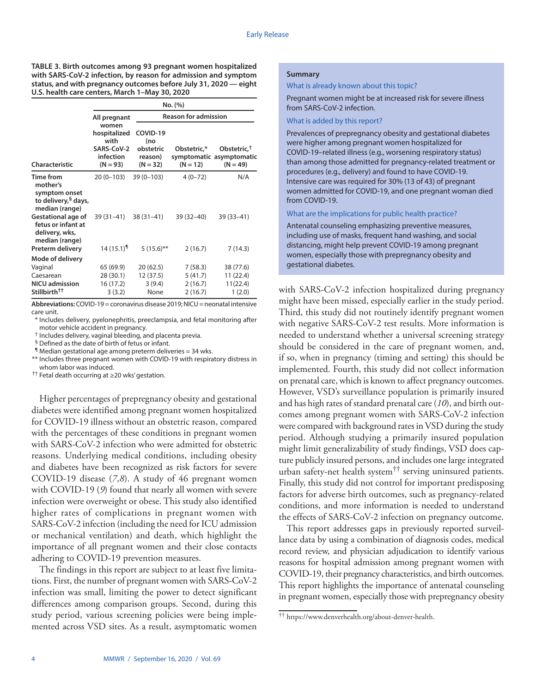**TABLE 3. Birth outcomes among 93 pregnant women hospitalized with SARS-CoV-2 infection, by reason for admission and symptom status, and with pregnancy outcomes before July 31, 2020 — eight U.S. health care centers, March 1–May 30, 2020**

|                                                                                             | No. (%)                                                                |                                                       |                           |                                                                   |  |
|---------------------------------------------------------------------------------------------|------------------------------------------------------------------------|-------------------------------------------------------|---------------------------|-------------------------------------------------------------------|--|
|                                                                                             | All pregnant                                                           | <b>Reason for admission</b>                           |                           |                                                                   |  |
| Characteristic                                                                              | women<br>hospitalized<br>with<br>SARS-CoV-2<br>infection<br>$(N = 93)$ | COVID-19<br>(no<br>obstetric<br>reason)<br>$(N = 32)$ | Obstetric,*<br>$(N = 12)$ | Obstetric, <sup>†</sup><br>symptomatic asymptomatic<br>$(N = 49)$ |  |
| Time from<br>mother's<br>symptom onset<br>to delivery, <sup>§</sup> days,<br>median (range) | 20 (0-103)                                                             | $39(0 - 103)$                                         | $4(0-72)$                 | N/A                                                               |  |
| <b>Gestational age of</b><br>fetus or infant at<br>delivery, wks,<br>median (range)         | 39 (31 - 41)                                                           | $38(31-41)$                                           | $39(32-40)$               | 39 (33-41)                                                        |  |
| Preterm delivery                                                                            | $14(15.1)$ <sup>1</sup>                                                | $5(15.6)$ **                                          | 2(16.7)                   | 7(14.3)                                                           |  |
| Mode of delivery                                                                            |                                                                        |                                                       |                           |                                                                   |  |
| Vaginal                                                                                     | 65 (69.9)                                                              | 20(62.5)                                              | 7(58.3)                   | 38 (77.6)                                                         |  |
| Caesarean                                                                                   | 28 (30.1)                                                              | 12 (37.5)                                             | 5(41.7)                   | 11 (22.4)                                                         |  |
| <b>NICU</b> admission                                                                       | 16 (17.2)                                                              | 3(9.4)                                                | 2(16.7)                   | 11(22.4)                                                          |  |
| Stillbirth <sup>††</sup>                                                                    | 3(3.2)                                                                 | None                                                  | 2(16.7)                   | 1(2.0)                                                            |  |

**Abbreviations:** COVID-19 = coronavirus disease 2019; NICU = neonatal intensive care unit.

\* Includes delivery, pyelonephritis, preeclampsia, and fetal monitoring after motor vehicle accident in pregnancy.

† Includes delivery, vaginal bleeding, and placenta previa.

§ Defined as the date of birth of fetus or infant.

 $\P$  Median gestational age among preterm deliveries = 34 wks.

\*\* Includes three pregnant women with COVID-19 with respiratory distress in whom labor was induced.

†† Fetal death occurring at ≥20 wks' gestation.

Higher percentages of prepregnancy obesity and gestational diabetes were identified among pregnant women hospitalized for COVID-19 illness without an obstetric reason, compared with the percentages of these conditions in pregnant women with SARS-CoV-2 infection who were admitted for obstetric reasons. Underlying medical conditions, including obesity and diabetes have been recognized as risk factors for severe COVID-19 disease (*7*,*8*). A study of 46 pregnant women with COVID-19 (*9*) found that nearly all women with severe infection were overweight or obese. This study also identified higher rates of complications in pregnant women with SARS-CoV-2 infection (including the need for ICU admission or mechanical ventilation) and death, which highlight the importance of all pregnant women and their close contacts adhering to COVID-19 prevention measures.

The findings in this report are subject to at least five limitations. First, the number of pregnant women with SARS-CoV-2 infection was small, limiting the power to detect significant differences among comparison groups. Second, during this study period, various screening policies were being implemented across VSD sites. As a result, asymptomatic women

# **Summary**

What is already known about this topic?

Pregnant women might be at increased risk for severe illness from SARS-CoV-2 infection.

# What is added by this report?

Prevalences of prepregnancy obesity and gestational diabetes were higher among pregnant women hospitalized for COVID-19–related illness (e.g., worsening respiratory status) than among those admitted for pregnancy-related treatment or procedures (e.g., delivery) and found to have COVID-19. Intensive care was required for 30% (13 of 43) of pregnant women admitted for COVID-19, and one pregnant woman died from COVID-19.

#### What are the implications for public health practice?

Antenatal counseling emphasizing preventive measures, including use of masks, frequent hand washing, and social distancing, might help prevent COVID-19 among pregnant women, especially those with prepregnancy obesity and gestational diabetes.

with SARS-CoV-2 infection hospitalized during pregnancy might have been missed, especially earlier in the study period. Third, this study did not routinely identify pregnant women with negative SARS-CoV-2 test results. More information is needed to understand whether a universal screening strategy should be considered in the care of pregnant women, and, if so, when in pregnancy (timing and setting) this should be implemented. Fourth, this study did not collect information on prenatal care, which is known to affect pregnancy outcomes. However, VSD's surveillance population is primarily insured and has high rates of standard prenatal care (*10*), and birth outcomes among pregnant women with SARS-CoV-2 infection were compared with background rates in VSD during the study period. Although studying a primarily insured population might limit generalizability of study findings, VSD does capture publicly insured persons, and includes one large integrated urban safety-net health system†† serving uninsured patients. Finally, this study did not control for important predisposing factors for adverse birth outcomes, such as pregnancy-related conditions, and more information is needed to understand the effects of SARS-CoV-2 infection on pregnancy outcome.

This report addresses gaps in previously reported surveillance data by using a combination of diagnosis codes, medical record review, and physician adjudication to identify various reasons for hospital admission among pregnant women with COVID-19, their pregnancy characteristics, and birth outcomes. This report highlights the importance of antenatal counseling in pregnant women, especially those with prepregnancy obesity

<sup>††</sup> [https://www.denverhealth.org/about-denver-health.](https://www.denverhealth.org/about-denver-health)